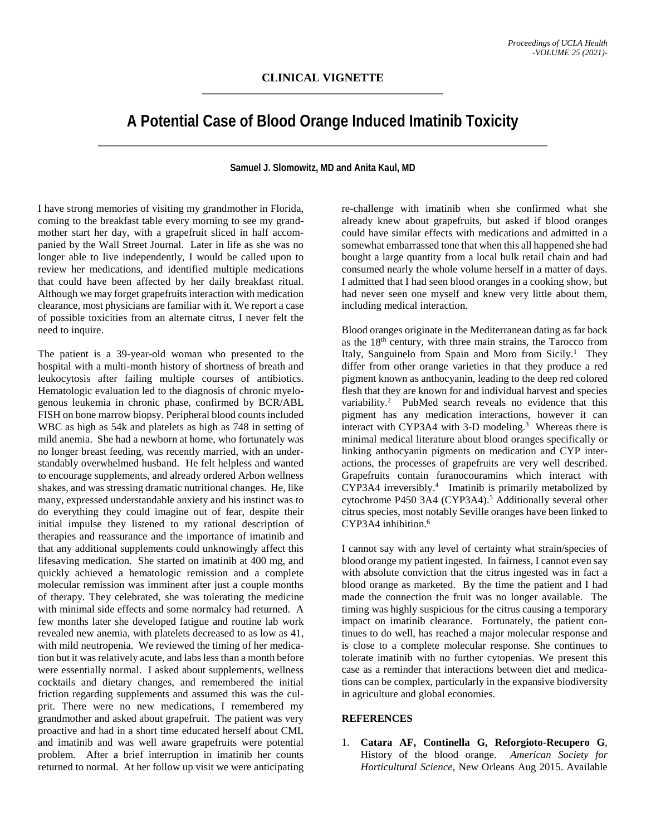## **A Potential Case of Blood Orange Induced Imatinib Toxicity**

## **Samuel J. Slomowitz, MD and Anita Kaul, MD**

I have strong memories of visiting my grandmother in Florida, coming to the breakfast table every morning to see my grandmother start her day, with a grapefruit sliced in half accompanied by the Wall Street Journal. Later in life as she was no longer able to live independently, I would be called upon to review her medications, and identified multiple medications that could have been affected by her daily breakfast ritual. Although we may forget grapefruits interaction with medication clearance, most physicians are familiar with it. We report a case of possible toxicities from an alternate citrus, I never felt the need to inquire.

The patient is a 39-year-old woman who presented to the hospital with a multi-month history of shortness of breath and leukocytosis after failing multiple courses of antibiotics. Hematologic evaluation led to the diagnosis of chronic myelogenous leukemia in chronic phase, confirmed by BCR/ABL FISH on bone marrow biopsy. Peripheral blood counts included WBC as high as 54k and platelets as high as 748 in setting of mild anemia. She had a newborn at home, who fortunately was no longer breast feeding, was recently married, with an understandably overwhelmed husband. He felt helpless and wanted to encourage supplements, and already ordered Arbon wellness shakes, and was stressing dramatic nutritional changes. He, like many, expressed understandable anxiety and his instinct was to do everything they could imagine out of fear, despite their initial impulse they listened to my rational description of therapies and reassurance and the importance of imatinib and that any additional supplements could unknowingly affect this lifesaving medication. She started on imatinib at 400 mg, and quickly achieved a hematologic remission and a complete molecular remission was imminent after just a couple months of therapy. They celebrated, she was tolerating the medicine with minimal side effects and some normalcy had returned. A few months later she developed fatigue and routine lab work revealed new anemia, with platelets decreased to as low as 41, with mild neutropenia. We reviewed the timing of her medication but it was relatively acute, and labs less than a month before were essentially normal. I asked about supplements, wellness cocktails and dietary changes, and remembered the initial friction regarding supplements and assumed this was the culprit. There were no new medications, I remembered my grandmother and asked about grapefruit. The patient was very proactive and had in a short time educated herself about CML and imatinib and was well aware grapefruits were potential problem. After a brief interruption in imatinib her counts returned to normal. At her follow up visit we were anticipating re-challenge with imatinib when she confirmed what she already knew about grapefruits, but asked if blood oranges could have similar effects with medications and admitted in a somewhat embarrassed tone that when this all happened she had bought a large quantity from a local bulk retail chain and had consumed nearly the whole volume herself in a matter of days. I admitted that I had seen blood oranges in a cooking show, but had never seen one myself and knew very little about them, including medical interaction.

Blood oranges originate in the Mediterranean dating as far back as the 18th century, with three main strains, the Tarocco from Italy, Sanguinelo from Spain and Moro from Sicily.<sup>1</sup> They differ from other orange varieties in that they produce a red pigment known as anthocyanin, leading to the deep red colored flesh that they are known for and individual harvest and species variability. 2 PubMed search reveals no evidence that this pigment has any medication interactions, however it can interact with CYP3A4 with 3-D modeling.<sup>3</sup> Whereas there is minimal medical literature about blood oranges specifically or linking anthocyanin pigments on medication and CYP interactions, the processes of grapefruits are very well described. Grapefruits contain furanocouramins which interact with CYP3A4 irreversibly. 4 Imatinib is primarily metabolized by cytochrome P450 3A4 (CYP3A4). <sup>5</sup> Additionally several other citrus species, most notably Seville oranges have been linked to CYP3A4 inhibition. 6

I cannot say with any level of certainty what strain/species of blood orange my patient ingested. In fairness, I cannot even say with absolute conviction that the citrus ingested was in fact a blood orange as marketed. By the time the patient and I had made the connection the fruit was no longer available. The timing was highly suspicious for the citrus causing a temporary impact on imatinib clearance. Fortunately, the patient continues to do well, has reached a major molecular response and is close to a complete molecular response. She continues to tolerate imatinib with no further cytopenias. We present this case as a reminder that interactions between diet and medications can be complex, particularly in the expansive biodiversity in agriculture and global economies.

## **REFERENCES**

1. **Catara AF, Continella G, Reforgioto-Recupero G**, History of the blood orange. *American Society for Horticultural Science,* New Orleans Aug 2015. Available